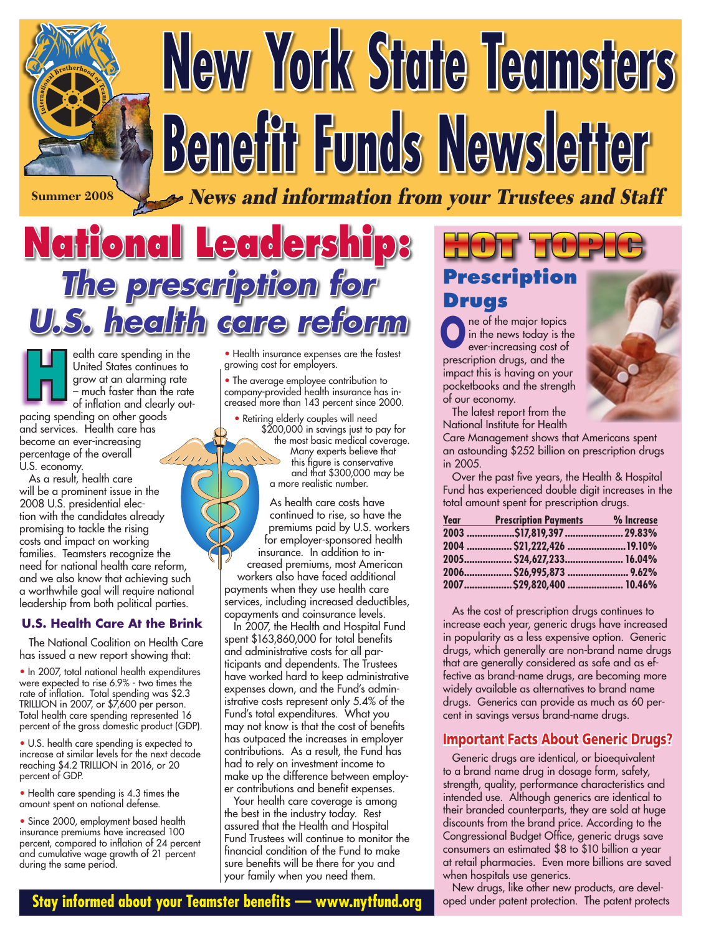# **New York State Teamsters Benefit Funds Newsletter**

**Summer 2008** News and information from your Trustees and Staff

# **National Leadership: The prescription for U.S. health care reform**

ealth care spending in the United States continues to grow at an alarming rate – much faster than the rate of inflation and clearly out-H

pacing spending on other goods and services. Health care has become an ever-increasing percentage of the overall (111) U.S. economy.

 As a result, health care will be a prominent issue in the 2008 U.S. presidential election with the candidates already promising to tackle the rising costs and impact on working families. Teamsters recognize the need for national health care reform, and we also know that achieving such a worthwhile goal will require national leadership from both political parties.

#### **U.S. Health Care At the Brink**

 The National Coalition on Health Care has issued a new report showing that:

• In 2007, total national health expenditures were expected to rise 6.9% - two times the rate of inflation. Total spending was \$2.3 TRILLION in 2007, or \$7,600 per person. Total health care spending represented 16 percent of the gross domestic product (GDP).

• U.S. health care spending is expected to increase at similar levels for the next decade reaching \$4.2 TRILLION in 2016, or 20 percent of GDP.

• Health care spending is 4.3 times the amount spent on national defense.

• Since 2000, employment based health insurance premiums have increased 100 percent, compared to inflation of 24 percent and cumulative wage growth of 21 percent during the same period.

• Health insurance expenses are the fastest growing cost for employers.

• The average employee contribution to company-provided health insurance has increased more than 143 percent since 2000.

• Retiring elderly couples will need \$200,000 in savings just to pay for the most basic medical coverage. Many experts believe that this figure is conservative and that \$300,000 may be a more realistic number.

As health care costs have continued to rise, so have the premiums paid by U.S. workers for employer-sponsored health insurance. In addition to increased premiums, most American workers also have faced additional payments when they use health care

services, including increased deductibles, copayments and coinsurance levels.

 In 2007, the Health and Hospital Fund spent \$163,860,000 for total benefits and administrative costs for all participants and dependents. The Trustees have worked hard to keep administrative expenses down, and the Fund's administrative costs represent only 5.4% of the Fund's total expenditures. What you may not know is that the cost of benefits has outpaced the increases in employer contributions. As a result, the Fund has had to rely on investment income to make up the difference between employer contributions and benefit expenses.

 Your health care coverage is among the best in the industry today. Rest assured that the Health and Hospital Fund Trustees will continue to monitor the financial condition of the Fund to make sure benefits will be there for you and your family when you need them.

# **Prescription Drugs HOT TOPIC**

ne of the major topics in the news today is the ever-increasing cost of prescription drugs, and the impact this is having on your pocketbooks and the strength of our economy. **O**

 The latest report from the National Institute for Health



Care Management shows that Americans spent an astounding \$252 billion on prescription drugs in 2005.

 Over the past five years, the Health & Hospital Fund has experienced double digit increases in the total amount spent for prescription drugs.

| <b>Year</b> | <b>Prescription Payments</b> | % Increase |
|-------------|------------------------------|------------|
|             | 2003 \$17,819,397  29.83%    |            |
|             |                              |            |
|             | 2005 \$24,627,233 16.04%     |            |
|             | 2006 \$26,995,873  9.62%     |            |
|             | 2007 \$29,820,400 10.46%     |            |

 As the cost of prescription drugs continues to increase each year, generic drugs have increased in popularity as a less expensive option. Generic drugs, which generally are non-brand name drugs that are generally considered as safe and as effective as brand-name drugs, are becoming more widely available as alternatives to brand name drugs. Generics can provide as much as 60 percent in savings versus brand-name drugs.

#### Important Facts About Generic Drugs?

 Generic drugs are identical, or bioequivalent to a brand name drug in dosage form, safety, strength, quality, performance characteristics and intended use. Although generics are identical to their branded counterparts, they are sold at huge discounts from the brand price. According to the Congressional Budget Office, generic drugs save consumers an estimated \$8 to \$10 billion a year at retail pharmacies. Even more billions are saved when hospitals use generics.

 New drugs, like other new products, are developed under patent protection. The patent protects

**Stay informed about your Teamster benefits — www.nytfund.org**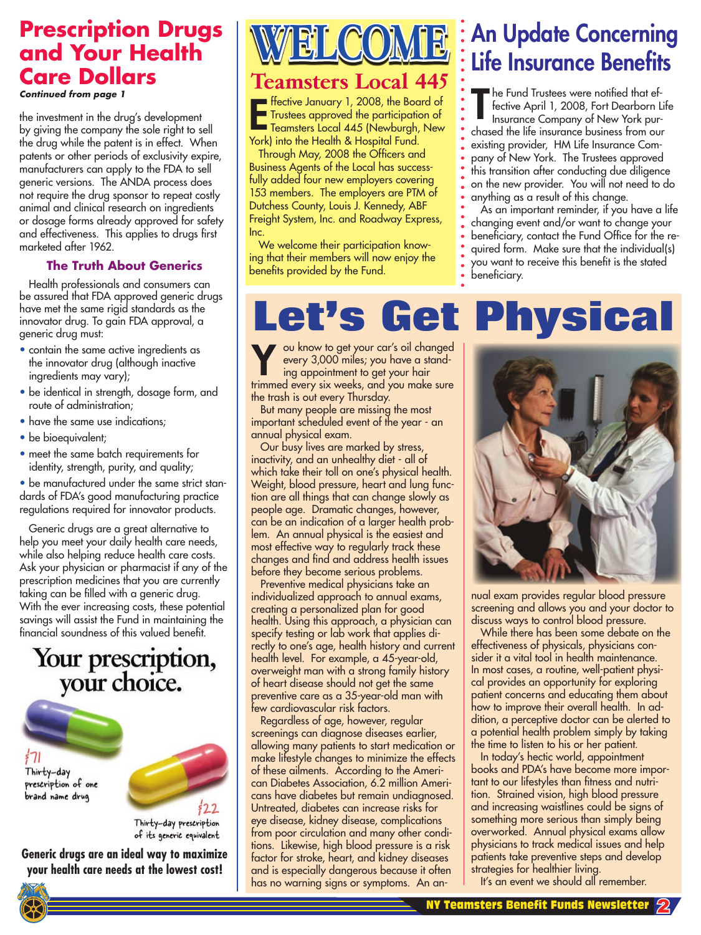# **Prescription Drugs and Your Health Care Dollars**

**Continued from page 1**

the investment in the drug's development by giving the company the sole right to sell the drug while the patent is in effect. When patents or other periods of exclusivity expire, manufacturers can apply to the FDA to sell generic versions. The ANDA process does not require the drug sponsor to repeat costly animal and clinical research on ingredients or dosage forms already approved for safety and effectiveness. This applies to drugs first marketed after 1962.

#### **The Truth About Generics**

 Health professionals and consumers can be assured that FDA approved generic drugs have met the same rigid standards as the innovator drug. To gain FDA approval, a generic drug must:

- contain the same active ingredients as the innovator drug (although inactive ingredients may vary);
- be identical in strength, dosage form, and route of administration;
- have the same use indications;
- be bioequivalent;
- meet the same batch requirements for identity, strength, purity, and quality;

• be manufactured under the same strict standards of FDA's good manufacturing practice regulations required for innovator products.

 Generic drugs are a great alternative to help you meet your daily health care needs, while also helping reduce health care costs. Ask your physician or pharmacist if any of the prescription medicines that you are currently taking can be filled with a generic drug. With the ever increasing costs, these potential savings will assist the Fund in maintaining the financial soundness of this valued benefit.

# Your prescription,<br>your choice.

Thirty-day prescription of one brand name drug



Thirty-day prescription of its generic equivalent

**Generic drugs are an ideal way to maximize your health care needs at the lowest cost!**



#### **Teamsters Local 445**

Ffective January 1, 2008, the Board of<br>Trustees approved the participation of<br>Teamsters Local 445 (Newburgh, New Trustees approved the participation of Teamsters Local 445 (Newburgh, New York) into the Health & Hospital Fund.

 Through May, 2008 the Officers and Business Agents of the Local has successfully added four new employers covering 153 members. The employers are PTM of Dutchess County, Louis J. Kennedy, ABF Freight System, Inc. and Roadway Express, Inc.

 We welcome their participation knowing that their members will now enjoy the benefits provided by the Fund.

# An Update Concerning Life Insurance Benefits

he Fund Trustees were notified that effective April 1, 2008, Fort Dearborn Life Insurance Company of New York purchased the life insurance business from our existing provider, HM Life Insurance Company of New York. The Trustees approved this transition after conducting due diligence on the new provider. You will not need to do anything as a result of this change. T

 As an important reminder, if you have a life changing event and/or want to change your beneficiary, contact the Fund Office for the required form. Make sure that the individual(s) you want to receive this benefit is the stated beneficiary.

# **Let's Get Physical**

ou know to get your car's oil changed every 3,000 miles; you have a standing appointment to get your hair ou know to get your car's oil changed<br>every 3,000 miles; you have a stand-<br>ing appointment to get your hair<br>trimmed every six weeks, and you make sure the trash is out every Thursday.

 But many people are missing the most important scheduled event of the year - an annual physical exam.

 Our busy lives are marked by stress, inactivity, and an unhealthy diet - all of which take their toll on one's physical health. Weight, blood pressure, heart and lung function are all things that can change slowly as people age. Dramatic changes, however, can be an indication of a larger health problem. An annual physical is the easiest and most effective way to regularly track these changes and find and address health issues before they become serious problems.

 Preventive medical physicians take an individualized approach to annual exams, creating a personalized plan for good health. Using this approach, a physician can specify testing or lab work that applies directly to one's age, health history and current health level. For example, a 45-year-old, overweight man with a strong family history of heart disease should not get the same preventive care as a 35-year-old man with few cardiovascular risk factors.

 Regardless of age, however, regular screenings can diagnose diseases earlier, allowing many patients to start medication or make lifestyle changes to minimize the effects of these ailments. According to the American Diabetes Association, 6.2 million Americans have diabetes but remain undiagnosed. Untreated, diabetes can increase risks for eye disease, kidney disease, complications from poor circulation and many other conditions. Likewise, high blood pressure is a risk factor for stroke, heart, and kidney diseases and is especially dangerous because it often has no warning signs or symptoms. An an-



nual exam provides regular blood pressure screening and allows you and your doctor to discuss ways to control blood pressure.

 While there has been some debate on the effectiveness of physicals, physicians consider it a vital tool in health maintenance. In most cases, a routine, well-patient physical provides an opportunity for exploring patient concerns and educating them about how to improve their overall health. In addition, a perceptive doctor can be alerted to a potential health problem simply by taking the time to listen to his or her patient.

 In today's hectic world, appointment books and PDA's have become more important to our lifestyles than fitness and nutrition. Strained vision, high blood pressure and increasing waistlines could be signs of something more serious than simply being overworked. Annual physical exams allow physicians to track medical issues and help patients take preventive steps and develop strategies for healthier living.

It's an event we should all remember.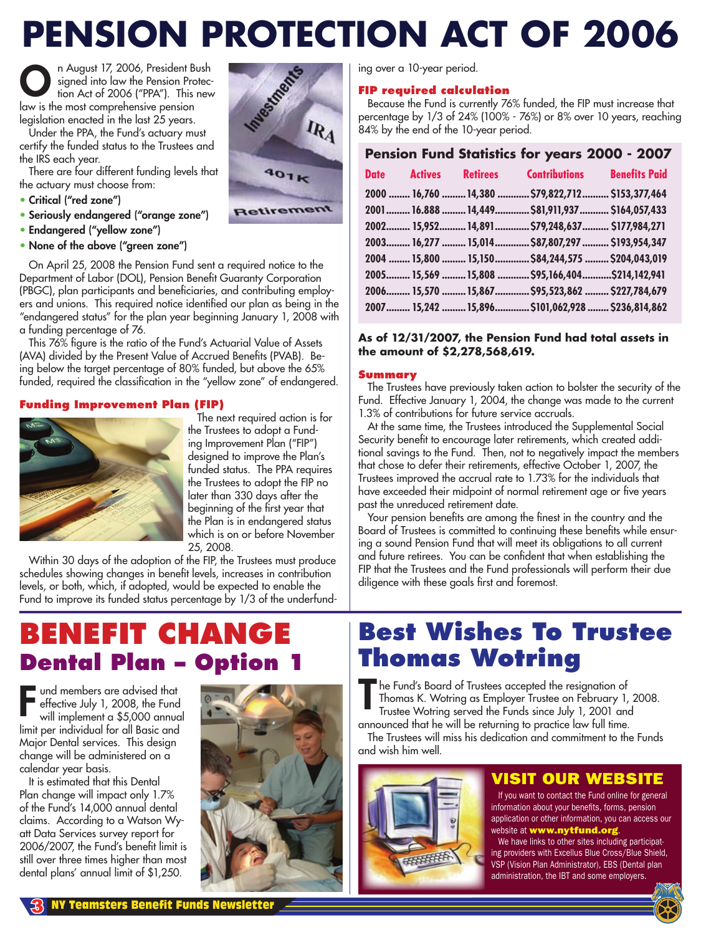# **PENSION PROTECTION ACT OF 2006**<br> **O** in August 17, 2006, President Bush<br>
tion Act of 2006 ("PPA"). This new<br>
any is the most comprehensive pension<br>
Under the PPA, the Fund is and the PPA, the Fund is and the PPA, the Fund

 $R_4$ 

40<sub>1k</sub>

**Retirement** 

n August 17, 2006, President Bush signed into law the Pension Protection Act of 2006 ("PPA"). This new law is the most comprehensive pension legislation enacted in the last 25 years. O

 Under the PPA, the Fund's actuary must certify the funded status to the Trustees and the IRS each year.

 There are four different funding levels that the actuary must choose from:

- Critical ("red zone")
- Seriously endangered ("orange zone")
- Endangered ("yellow zone")
- None of the above ("green zone")

 On April 25, 2008 the Pension Fund sent a required notice to the Department of Labor (DOL), Pension Benefit Guaranty Corporation (PBGC), plan participants and beneficiaries, and contributing employers and unions. This required notice identified our plan as being in the "endangered status" for the plan year beginning January 1, 2008 with a funding percentage of 76.

 This 76% figure is the ratio of the Fund's Actuarial Value of Assets (AVA) divided by the Present Value of Accrued Benefits (PVAB). Being below the target percentage of 80% funded, but above the 65% funded, required the classification in the "yellow zone" of endangered.

#### **Funding Improvement Plan (FIP)**



 The next required action is for the Trustees to adopt a Funding Improvement Plan ("FIP") designed to improve the Plan's funded status. The PPA requires the Trustees to adopt the FIP no later than 330 days after the beginning of the first year that the Plan is in endangered status which is on or before November 25, 2008.

 Within 30 days of the adoption of the FIP, the Trustees must produce schedules showing changes in benefit levels, increases in contribution levels, or both, which, if adopted, would be expected to enable the Fund to improve its funded status percentage by 1/3 of the underfund-

# **BENEFIT CHANGE Dental Plan – Option 1**

**F** und members are advised that effective July 1, 2008, the Fund will implement a \$5,000 annual limit per individual for all Basic and Major Dental services. This design change will be administered on a calendar year basis.

 It is estimated that this Dental Plan change will impact only 1.7% of the Fund's 14,000 annual dental claims. According to a Watson Wyatt Data Services survey report for 2006/2007, the Fund's benefit limit is still over three times higher than most dental plans' annual limit of \$1,250.



ing over a 10-year period.

#### **FIP required calculation**

 Because the Fund is currently 76% funded, the FIP must increase that percentage by 1/3 of 24% (100% - 76%) or 8% over 10 years, reaching 84% by the end of the 10-year period.

#### **Pension Fund Statistics for years 2000 - 2007 Date Actives Retirees Contributions Benefits Paid 2000 ........ 16,760 .........14,380 ............\$79,822,712 .......... \$153,377,464 2001 .........16.888 .........14,449 .............\$81,911,937 ........... \$164,057,433 2002 ......... 15,952 ..........14,891 .............\$79,248,637 .......... \$177,984,271 2003 ......... 16,277 ......... 15,014 .............\$87,807,297 .......... \$193,954,347 2004 ........15,800 ......... 15,150 .............\$84,244,575 ......... \$204,043,019 2005 ......... 15,569 .........15,808 ............\$95,166,404 ...........\$214,142,941 2006 ......... 15,570 .........15,867 .............\$95,523,862 ......... \$227,784,679**

#### **As of 12/31/2007, the Pension Fund had total assets in the amount of \$2,278,568,619.**

**2007 ......... 15,242 .........15,896 .............\$101,062,928 ........ \$236,814,862** 

#### **Summary**

 The Trustees have previously taken action to bolster the security of the Fund. Effective January 1, 2004, the change was made to the current 1.3% of contributions for future service accruals.

 At the same time, the Trustees introduced the Supplemental Social Security benefit to encourage later retirements, which created additional savings to the Fund. Then, not to negatively impact the members that chose to defer their retirements, effective October 1, 2007, the Trustees improved the accrual rate to 1.73% for the individuals that have exceeded their midpoint of normal retirement age or five years past the unreduced retirement date.

 Your pension benefits are among the finest in the country and the Board of Trustees is committed to continuing these benefits while ensuring a sound Pension Fund that will meet its obligations to all current and future retirees. You can be confident that when establishing the FIP that the Trustees and the Fund professionals will perform their due diligence with these goals first and foremost.

# **Best Wishes To Trustee Thomas Wotring**

he Fund's Board of Trustees accepted the resignation of Thomas K. Wotring as Employer Trustee on February 1, 2008. Trustee Wotring served the Funds since July 1, 2001 and announced that he will be returning to practice law full time.

 The Trustees will miss his dedication and commitment to the Funds and wish him well.

开开开开

#### VISIT OUR WEBSITE

 If you want to contact the Fund online for general information about your benefits, forms, pension application or other information, you can access our website at www.nytfund.org.

We have links to other sites including participating providers with Excellus Blue Cross/Blue Shield, VSP (Vision Plan Administrator), EBS (Dental plan administration, the IBT and some employers.